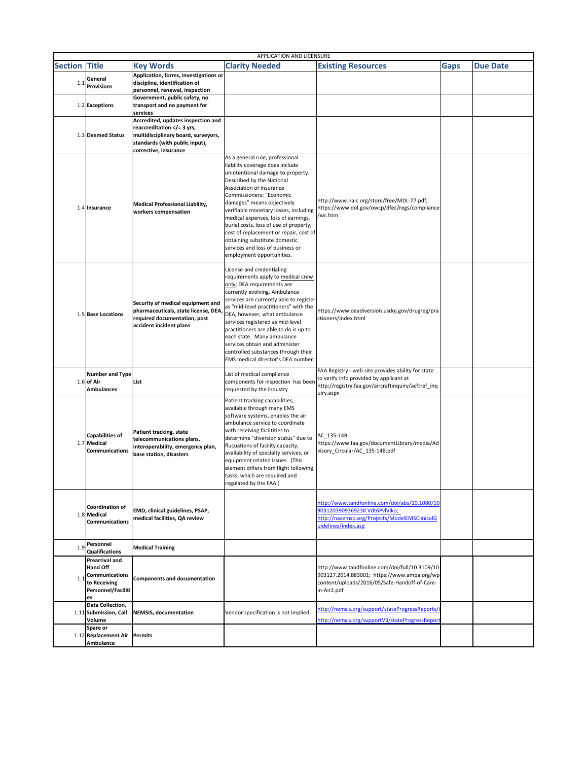|                | APPLICATION AND LICENSURE                                                                       |                                                                                                                                                                  |                                                                                                                                                                                                                                                                                                                                                                                                                                                                                                  |                                                                                                                                                                   |             |                 |  |  |
|----------------|-------------------------------------------------------------------------------------------------|------------------------------------------------------------------------------------------------------------------------------------------------------------------|--------------------------------------------------------------------------------------------------------------------------------------------------------------------------------------------------------------------------------------------------------------------------------------------------------------------------------------------------------------------------------------------------------------------------------------------------------------------------------------------------|-------------------------------------------------------------------------------------------------------------------------------------------------------------------|-------------|-----------------|--|--|
| <b>Section</b> | <b>Title</b>                                                                                    | <b>Key Words</b>                                                                                                                                                 | <b>Clarity Needed</b>                                                                                                                                                                                                                                                                                                                                                                                                                                                                            | <b>Existing Resources</b>                                                                                                                                         | <b>Gaps</b> | <b>Due Date</b> |  |  |
| 1.1            | General<br><b>Provisions</b>                                                                    | Application, forms, investigations or<br>discipline, identification of<br>personnel, renewal, inspection                                                         |                                                                                                                                                                                                                                                                                                                                                                                                                                                                                                  |                                                                                                                                                                   |             |                 |  |  |
|                | 1.2 Exceptions                                                                                  | Government, public safety, no<br>transport and no payment for<br>services                                                                                        |                                                                                                                                                                                                                                                                                                                                                                                                                                                                                                  |                                                                                                                                                                   |             |                 |  |  |
|                | 1.3 Deemed Status                                                                               | Accredited, updates inspection and<br>reaccreditation = 3 yrs,<br multidisciplinary board, surveyors,<br>standards (with public input),<br>corrective, insurance |                                                                                                                                                                                                                                                                                                                                                                                                                                                                                                  |                                                                                                                                                                   |             |                 |  |  |
|                | 1.4 Insurance                                                                                   | Medical Professional Liability,<br>workers compensation                                                                                                          | As a general rule, professional<br>liability coverage does include<br>unintentional damage to property.<br>Described by the National<br>Association of Insurance<br>Commissioners: "Economic<br>damages" means objectively<br>verifiable monetary losses, including<br>medical expenses, loss of earnings,<br>burial costs, loss of use of property,<br>cost of replacement or repair, cost of<br>obtaining substitute domestic<br>services and loss of business or<br>employment opportunities. | http://www.naic.org/store/free/MDL-77.pdf;<br>https://www.dol.gov/owcp/dfec/regs/compliance<br>/wc.htm                                                            |             |                 |  |  |
|                | 1.5 Base Locations                                                                              | Security of medical equipment and<br>pharmaceuticals, state license, DEA<br>required documentation, post<br>accident incident plans                              | License and credentialing<br>requirements apply to medical crew<br>only; DEA requirements are<br>currently evolving. Ambulance<br>services are currently able to register<br>as "mid-level practitioners" with the<br>DEA, however, what ambulance<br>services registered as mid-level<br>practitioners are able to do is up to<br>each state. Many ambulance<br>services obtain and administer<br>controlled substances through their<br>EMS medical director's DEA number.                     | https://www.deadiversion.usdoj.gov/drugreg/pra<br>ctioners/index.html                                                                                             |             |                 |  |  |
|                | <b>Number and Type</b><br>$1.6$ of Air<br><b>Ambulances</b>                                     | List                                                                                                                                                             | List of medical compliance<br>components for inspection has been<br>requested by the industry                                                                                                                                                                                                                                                                                                                                                                                                    | FAA Registry - web site provides ability for state<br>to verify info provided by applicant at<br>http://registry.faa.gov/aircraftinquiry/acftref_inq<br>uiry.aspx |             |                 |  |  |
|                | <b>Capabilities of</b><br>1.7 Medical<br><b>Communications</b>                                  | Patient tracking, state<br>telecommunications plans,<br>interoperability, emergency plan,<br>base station, disasters                                             | Patient tracking capabilities,<br>available through many EMS<br>software systems, enables the air<br>ambulance service to coordinate<br>with receiving faciltities to<br>determine "diversion status" due to<br>flucuations of facility capacity,<br>availability of specialty services, or<br>equipment related issues. (This<br>element differs from flight following<br>tasks, which are required and<br>regulated by the FAA.)                                                               | AC 135-14B<br>https://www.faa.gov/documentLibrary/media/Ad<br>visory_Circular/AC_135-14B.pdf                                                                      |             |                 |  |  |
|                | Coordination of<br>1.8 Medical<br>Communications                                                | EMD, clinical guidelines, PSAP,<br>medical facilities, QA review                                                                                                 |                                                                                                                                                                                                                                                                                                                                                                                                                                                                                                  | http://www.tandfonline.com/doi/abs/10.1080/10<br>903120390936923#.Vdt6PvlViko;<br>http://nasemso.org/Projects/ModelEMSClinicalG<br>uidelines/index.asp            |             |                 |  |  |
| 1.9            | Personnel<br><b>Qualifications</b>                                                              | <b>Medical Training</b>                                                                                                                                          |                                                                                                                                                                                                                                                                                                                                                                                                                                                                                                  |                                                                                                                                                                   |             |                 |  |  |
| 1.1            | Prearrival and<br><b>Hand Off</b><br>Communications<br>to Receiving<br>Personnel/Faciliti<br>es | <b>Components and documentation</b>                                                                                                                              |                                                                                                                                                                                                                                                                                                                                                                                                                                                                                                  | http://www.tandfonline.com/doi/full/10.3109/10<br>903127.2014.883001; https://www.ampa.org/wp<br>content/uploads/2016/05/Safe-Handoff-of-Care-<br>in-Air2.pdf     |             |                 |  |  |
|                | Data Collection,<br>1.11 Submission, Call<br>Volume                                             | <b>NEMSIS, documentation</b>                                                                                                                                     | Vendor specification is not implied.                                                                                                                                                                                                                                                                                                                                                                                                                                                             | http://nemsis.org/support/stateProgressReports/<br>http://nemsis.org/supportV3/stateProgressRepor                                                                 |             |                 |  |  |
|                | Spare or<br>1.12 Replacement Air Permits<br>Ambulance                                           |                                                                                                                                                                  |                                                                                                                                                                                                                                                                                                                                                                                                                                                                                                  |                                                                                                                                                                   |             |                 |  |  |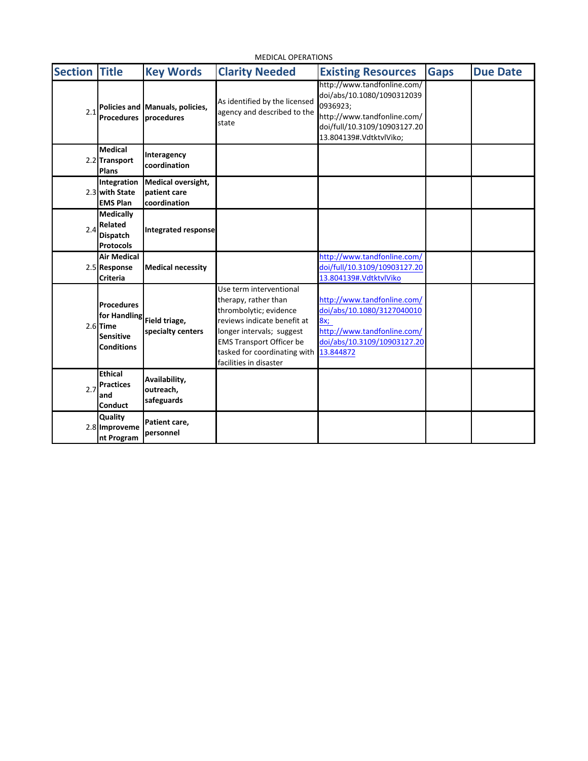| <b>MEDICAL OPERATIONS</b> |                                                                                          |                                                           |                                                                                                                                                                                                                                    |                                                                                                                                                                 |             |                 |
|---------------------------|------------------------------------------------------------------------------------------|-----------------------------------------------------------|------------------------------------------------------------------------------------------------------------------------------------------------------------------------------------------------------------------------------------|-----------------------------------------------------------------------------------------------------------------------------------------------------------------|-------------|-----------------|
| <b>Section</b>            | <b>Title</b>                                                                             | <b>Key Words</b>                                          | <b>Clarity Needed</b>                                                                                                                                                                                                              | <b>Existing Resources</b>                                                                                                                                       | <b>Gaps</b> | <b>Due Date</b> |
| 2.1                       | <b>Procedures</b>                                                                        | Policies and Manuals, policies,<br>procedures             | As identified by the licensed<br>agency and described to the<br>state                                                                                                                                                              | http://www.tandfonline.com/<br>doi/abs/10.1080/1090312039<br>0936923;<br>http://www.tandfonline.com/<br>doi/full/10.3109/10903127.20<br>13.804139#.VdtktvlViko; |             |                 |
|                           | <b>Medical</b><br>2.2 Transport<br>Plans                                                 | Interagency<br>coordination                               |                                                                                                                                                                                                                                    |                                                                                                                                                                 |             |                 |
|                           | Integration<br>2.3 with State<br><b>EMS Plan</b>                                         | <b>Medical oversight,</b><br>patient care<br>coordination |                                                                                                                                                                                                                                    |                                                                                                                                                                 |             |                 |
| 2.4                       | <b>Medically</b><br>Related<br><b>Dispatch</b><br><b>Protocols</b>                       | Integrated response                                       |                                                                                                                                                                                                                                    |                                                                                                                                                                 |             |                 |
|                           | <b>Air Medical</b><br>2.5 Response<br><b>Criteria</b>                                    | <b>Medical necessity</b>                                  |                                                                                                                                                                                                                                    | http://www.tandfonline.com/<br>doi/full/10.3109/10903127.20<br>13.804139#.VdtktvlViko                                                                           |             |                 |
|                           | <b>Procedures</b><br>for Handling<br>$2.6$ Time<br><b>Sensitive</b><br><b>Conditions</b> | Field triage,<br>specialty centers                        | Use term interventional<br>therapy, rather than<br>thrombolytic; evidence<br>reviews indicate benefit at<br>longer intervals; suggest<br><b>EMS Transport Officer be</b><br>tasked for coordinating with<br>facilities in disaster | http://www.tandfonline.com/<br>doi/abs/10.1080/3127040010<br>8x;<br>http://www.tandfonline.com/<br>doi/abs/10.3109/10903127.20<br>13.844872                     |             |                 |
| 2.7                       | <b>Ethical</b><br><b>Practices</b><br>and<br>Conduct                                     | Availability,<br>outreach,<br>safeguards                  |                                                                                                                                                                                                                                    |                                                                                                                                                                 |             |                 |
|                           | Quality<br>2.8 Improveme<br>nt Program                                                   | Patient care,<br>personnel                                |                                                                                                                                                                                                                                    |                                                                                                                                                                 |             |                 |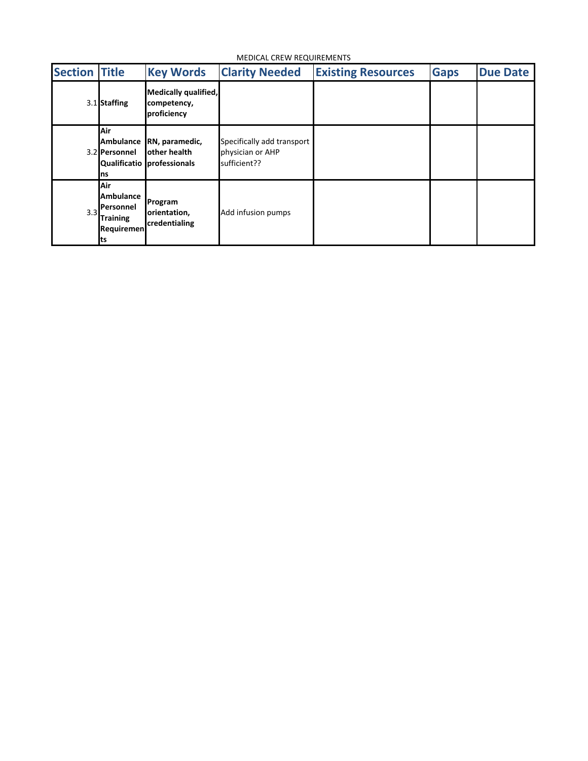MEDICAL CREW REQUIREMENTS

| <b>Section Title</b> |                                                                             | <b>Key Words</b>                                             | <b>Clarity Needed</b>                                          | <b>Existing Resources</b> | <b>Gaps</b> | <b>Due Date</b> |
|----------------------|-----------------------------------------------------------------------------|--------------------------------------------------------------|----------------------------------------------------------------|---------------------------|-------------|-----------------|
|                      | 3.1 Staffing                                                                | Medically qualified,<br>competency,<br>proficiency           |                                                                |                           |             |                 |
|                      | Air<br><b>Ambulance</b><br>3.2 Personnel<br>ns                              | RN, paramedic,<br>other health<br>Qualificatio professionals | Specifically add transport<br>physician or AHP<br>sufficient?? |                           |             |                 |
| 3.3                  | Air<br><b>Ambulance</b><br>Personnel<br><b>Training</b><br>Requiremen<br>ts | Program<br>orientation,<br>credentialing                     | Add infusion pumps                                             |                           |             |                 |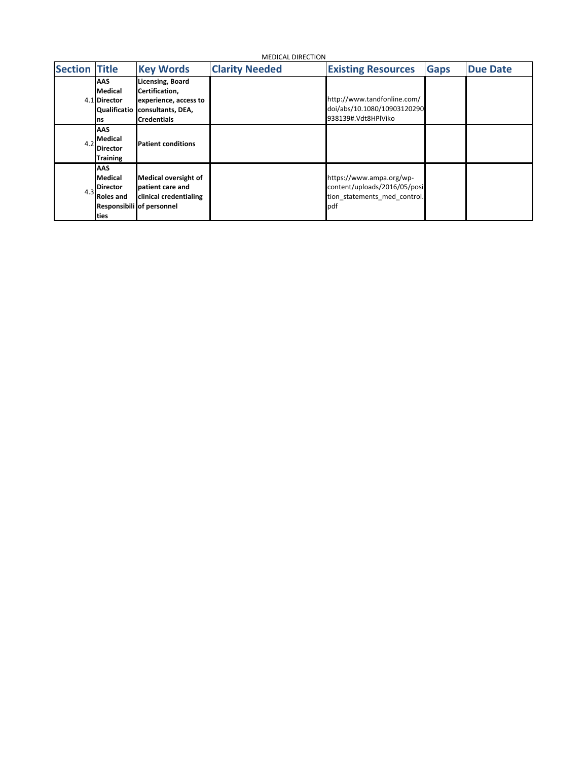| Section | <b>Title</b>                                                         | <b>Key Words</b>                                                                                              | <b>Clarity Needed</b> | <b>Existing Resources</b>                                                                       | <b>Gaps</b> | <b>Due Date</b> |
|---------|----------------------------------------------------------------------|---------------------------------------------------------------------------------------------------------------|-----------------------|-------------------------------------------------------------------------------------------------|-------------|-----------------|
|         | <b>AAS</b><br>Medical<br>4.1 Director<br>Qualificatio<br>ns          | <b>Licensing, Board</b><br>Certification,<br>experience, access to<br>consultants, DEA,<br><b>Credentials</b> |                       | http://www.tandfonline.com/<br>doi/abs/10.1080/10903120290<br>938139#.Vdt8HPlViko               |             |                 |
| 4.2     | AAS<br><b>Medical</b><br><b>Director</b><br><b>Training</b>          | <b>Patient conditions</b>                                                                                     |                       |                                                                                                 |             |                 |
| 4.3     | <b>AAS</b><br>Medical<br><b>Director</b><br><b>Roles and</b><br>ties | <b>Medical oversight of</b><br>patient care and<br>clinical credentialing<br>Responsibili of personnel        |                       | https://www.ampa.org/wp-<br>content/uploads/2016/05/posi<br>tion statements med control.<br>pdf |             |                 |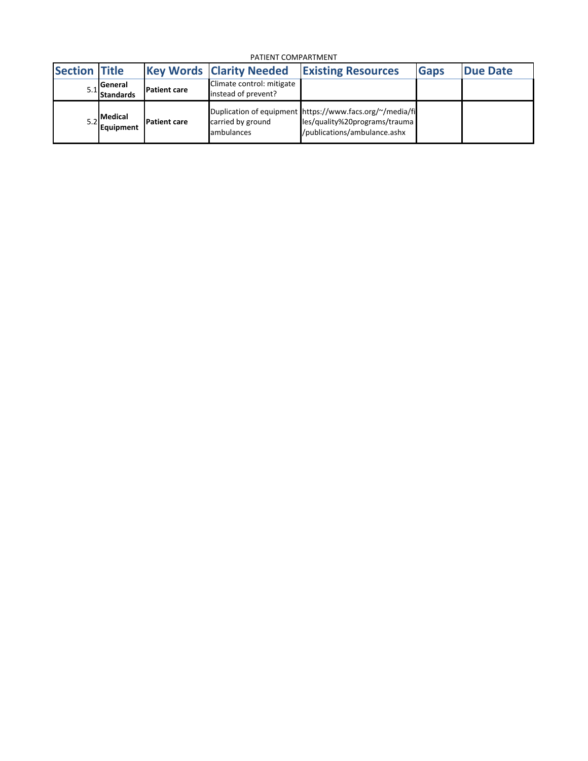PATIENT COMPARTMENT

| <b>Section Title</b> |                                      |                     | <b>Key Words Clarity Needed</b>                  | <b>Existing Resources</b>                                                                                                 | <b>Gaps</b> | <b>IDue Date</b> |
|----------------------|--------------------------------------|---------------------|--------------------------------------------------|---------------------------------------------------------------------------------------------------------------------------|-------------|------------------|
|                      | <b>I</b> General<br><b>Standards</b> | <b>Patient care</b> | Climate control: mitigate<br>instead of prevent? |                                                                                                                           |             |                  |
|                      | <b>Medical</b><br>Equipment          | <b>Patient care</b> | carried by ground<br>ambulances                  | Duplication of equipment https://www.facs.org/~/media/fi<br>les/quality%20programs/trauma<br>/publications/ambulance.ashx |             |                  |